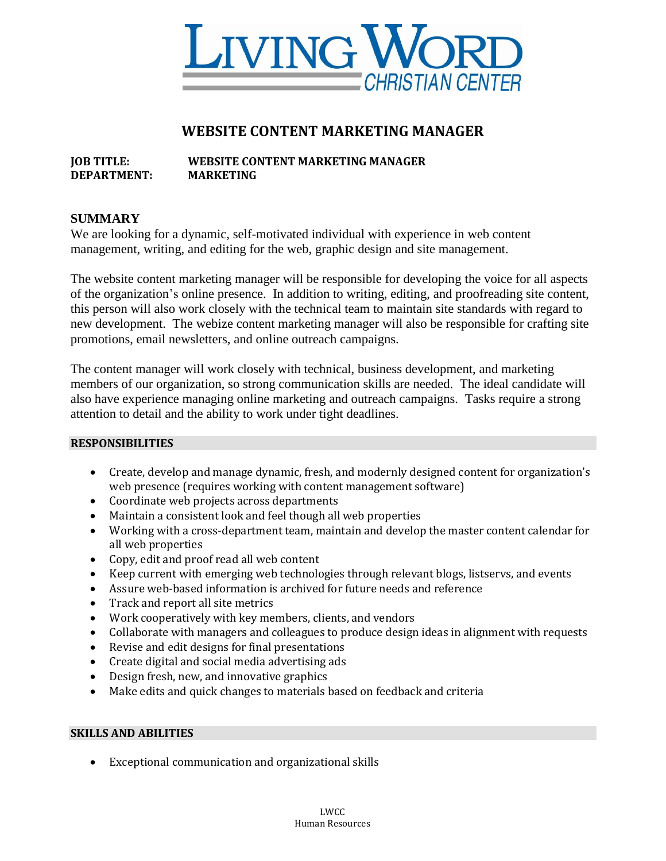

# **WEBSITE CONTENT MARKETING MANAGER**

## **JOB TITLE: WEBSITE CONTENT MARKETING MANAGER DEPARTMENT: MARKETING**

### **SUMMARY**

We are looking for a dynamic, self-motivated individual with experience in web content management, writing, and editing for the web, graphic design and site management.

The website content marketing manager will be responsible for developing the voice for all aspects of the organization's online presence. In addition to writing, editing, and proofreading site content, this person will also work closely with the technical team to maintain site standards with regard to new development. The webize content marketing manager will also be responsible for crafting site promotions, email newsletters, and online outreach campaigns.

The content manager will work closely with technical, business development, and marketing members of our organization, so strong communication skills are needed. The ideal candidate will also have experience managing online marketing and outreach campaigns. Tasks require a strong attention to detail and the ability to work under tight deadlines.

#### **RESPONSIBILITIES**

- Create, develop and manage dynamic, fresh, and modernly designed content for organization's web presence (requires working with content management software)
- Coordinate web projects across departments
- Maintain a consistent look and feel though all web properties
- Working with a cross-department team, maintain and develop the master content calendar for all web properties
- Copy, edit and proof read all web content
- Keep current with emerging web technologies through relevant blogs, listservs, and events
- Assure web-based information is archived for future needs and reference
- Track and report all site metrics
- Work cooperatively with key members, clients, and vendors
- Collaborate with managers and colleagues to produce design ideas in alignment with requests
- Revise and edit designs for final presentations
- Create digital and social media advertising ads
- Design fresh, new, and innovative graphics
- Make edits and quick changes to materials based on feedback and criteria

#### **SKILLS AND ABILITIES**

• Exceptional communication and organizational skills